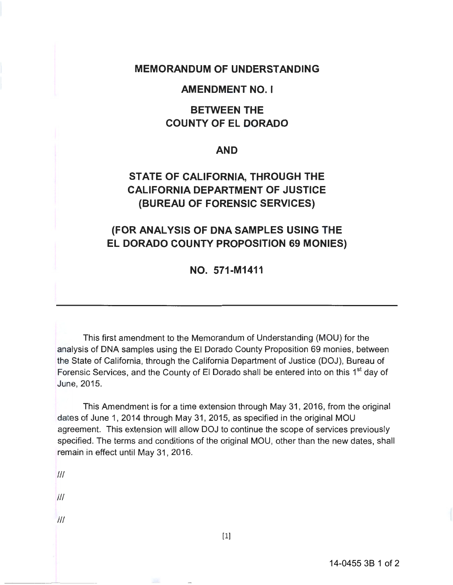### **MEMORANDUM OF UNDERSTANDING**

#### **AMENDMENT NO. I**

## **BETWEEN THE COUNTY OF EL DORADO**

#### **AND**

# **STATE OF CALIFORNIA, THROUGH THE CALIFORNIA DEPARTMENT OF JUSTICE (BUREAU OF FORENSIC SERVICES)**

## **(FOR ANALYSIS OF DNA SAMPLES USING THE EL DORADO COUNTY PROPOSITION 69 MONIES)**

**NO. 571-M1411** 

This first amendment to the Memorandum of Understanding (MOU) for the analysis of DNA samples using the El Dorado County Proposition 69 monies, between the State of California, through the California Department of Justice (DOJ), Bureau of Forensic Services, and the County of El Dorado shall be entered into on this 1<sup>st</sup> day of June, 2015.

This Amendment is for a time extension through May 31 , 2016, from the original dates of June 1, 2014 through May 31, 2015, as specified in the original MOU agreement. This extension will allow DOJ to continue the scope of services previously specified. The terms and conditions of the original MOU, other than the new dates, shall remain in effect until May 31, 2016.

Ill

Ill

Ill

[1]